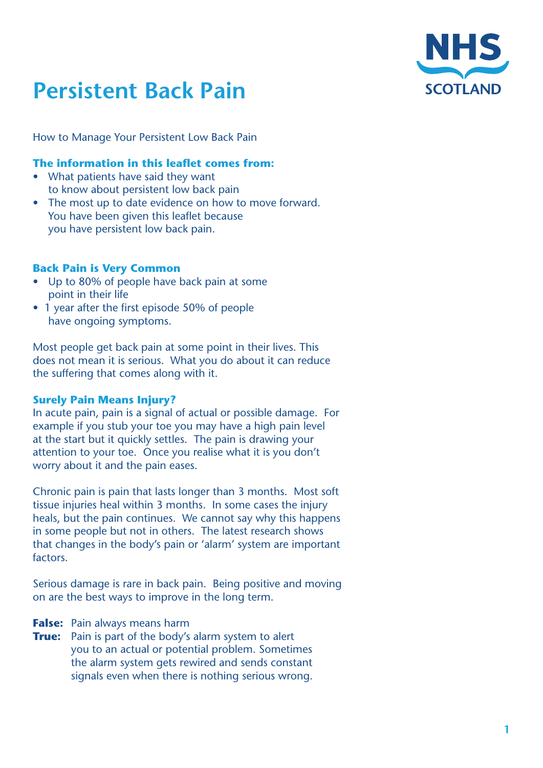

# **Persistent Back Pain**

How to Manage Your Persistent Low Back Pain

## **The information in this leaflet comes from:**

- What patients have said they want to know about persistent low back pain
- The most up to date evidence on how to move forward. You have been given this leaflet because you have persistent low back pain.

## **Back Pain is Very Common**

- Up to 80% of people have back pain at some point in their life
- 1 year after the first episode 50% of people have ongoing symptoms.

Most people get back pain at some point in their lives. This does not mean it is serious. What you do about it can reduce the suffering that comes along with it.

## **Surely Pain Means Injury?**

In acute pain, pain is a signal of actual or possible damage. For example if you stub your toe you may have a high pain level at the start but it quickly settles. The pain is drawing your attention to your toe. Once you realise what it is you don't worry about it and the pain eases.

Chronic pain is pain that lasts longer than 3 months. Most soft tissue injuries heal within 3 months. In some cases the injury heals, but the pain continues. We cannot say why this happens in some people but not in others. The latest research shows that changes in the body's pain or 'alarm' system are important factors.

Serious damage is rare in back pain. Being positive and moving on are the best ways to improve in the long term.

- **False:** Pain always means harm
- **True:** Pain is part of the body's alarm system to alert you to an actual or potential problem. Sometimes the alarm system gets rewired and sends constant signals even when there is nothing serious wrong.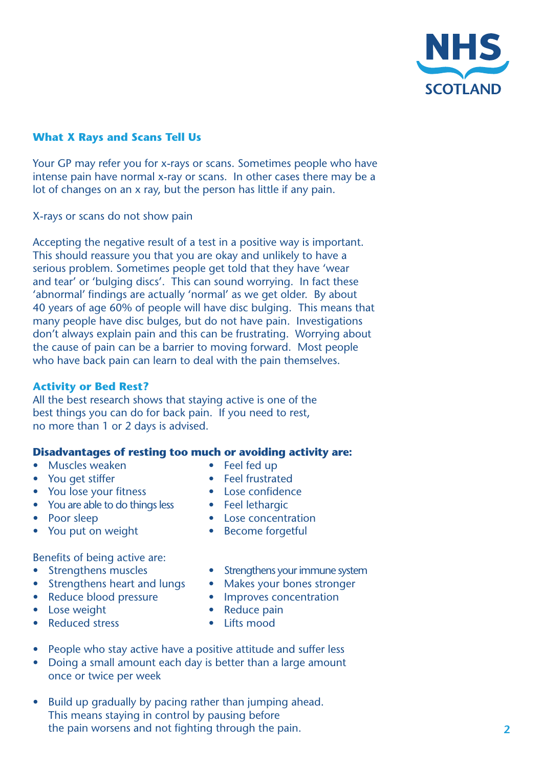

## **What X Rays and Scans Tell Us**

Your GP may refer you for x-rays or scans. Sometimes people who have intense pain have normal x-ray or scans. In other cases there may be a lot of changes on an x ray, but the person has little if any pain.

X-rays or scans do not show pain

Accepting the negative result of a test in a positive way is important. This should reassure you that you are okay and unlikely to have a serious problem. Sometimes people get told that they have 'wear and tear' or 'bulging discs'. This can sound worrying. In fact these 'abnormal' findings are actually 'normal' as we get older. By about 40 years of age 60% of people will have disc bulging. This means that many people have disc bulges, but do not have pain. Investigations don't always explain pain and this can be frustrating. Worrying about the cause of pain can be a barrier to moving forward. Most people who have back pain can learn to deal with the pain themselves.

#### **Activity or Bed Rest?**

All the best research shows that staying active is one of the best things you can do for back pain. If you need to rest, no more than 1 or 2 days is advised.

## **Disadvantages of resting too much or avoiding activity are:**

- Muscles weaken Feel fed up
- 
- You lose your fitness Lose confidence
- You are able to do things less Feel lethargic
- 
- You put on weight Become forgetful
- Benefits of being active are:
- 
- 
- 
- 
- **Reduced stress •** Lifts mood
- 
- You get stiffer **•** Feel frustrated
	-
	-
- Poor sleep Lose concentration
	-
- Strengthens muscles Strengthens your immune system
- Strengthens heart and lungs Makes your bones stronger
	- Reduce blood pressure Improves concentration
- • Lose weight • Reduce pain
	-
- People who stay active have a positive attitude and suffer less
- **Doing a small amount each day is better than a large amount**  once or twice per week
- Build up gradually by pacing rather than jumping ahead. This means staying in control by pausing before the pain worsens and not fighting through the pain.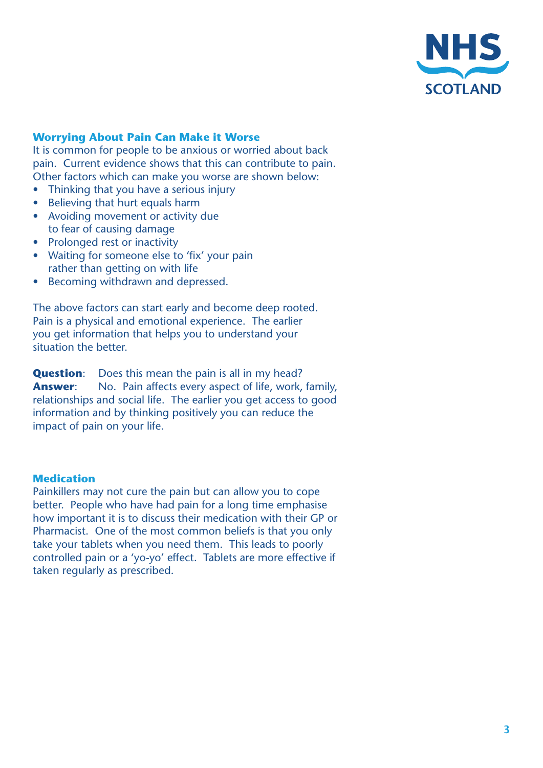

## **Worrying About Pain Can Make it Worse**

It is common for people to be anxious or worried about back pain. Current evidence shows that this can contribute to pain. Other factors which can make you worse are shown below:

- Thinking that you have a serious injury
- Believing that hurt equals harm
- Avoiding movement or activity due to fear of causing damage
- Prolonged rest or inactivity
- Waiting for someone else to 'fix' your pain rather than getting on with life
- Becoming withdrawn and depressed.

The above factors can start early and become deep rooted. Pain is a physical and emotional experience. The earlier you get information that helps you to understand your situation the better.

**Question:** Does this mean the pain is all in my head? **Answer:** No. Pain affects every aspect of life, work, family, relationships and social life. The earlier you get access to good information and by thinking positively you can reduce the impact of pain on your life.

#### **Medication**

Painkillers may not cure the pain but can allow you to cope better. People who have had pain for a long time emphasise how important it is to discuss their medication with their GP or Pharmacist. One of the most common beliefs is that you only take your tablets when you need them. This leads to poorly controlled pain or a 'yo-yo' effect. Tablets are more effective if taken regularly as prescribed.